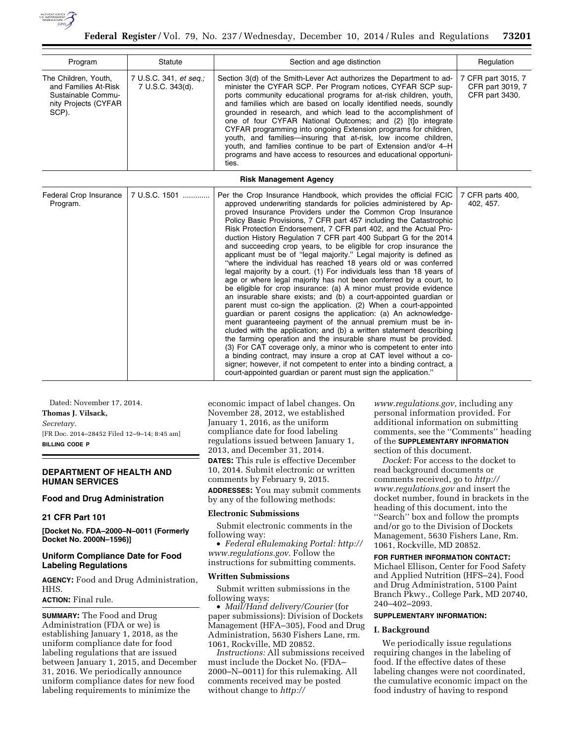

| Program                                                                                             | Statute                                    | Section and age distinction                                                                                                                                                                                                                                                                                                                                                                                                                                                                                                                                                                                                                                                                         | Regulation                                               |
|-----------------------------------------------------------------------------------------------------|--------------------------------------------|-----------------------------------------------------------------------------------------------------------------------------------------------------------------------------------------------------------------------------------------------------------------------------------------------------------------------------------------------------------------------------------------------------------------------------------------------------------------------------------------------------------------------------------------------------------------------------------------------------------------------------------------------------------------------------------------------------|----------------------------------------------------------|
| The Children, Youth,<br>and Families At-Risk<br>Sustainable Commu-<br>nity Projects (CYFAR<br>SCP). | 7 U.S.C. 341, et seq.;<br>7 U.S.C. 343(d). | Section 3(d) of the Smith-Lever Act authorizes the Department to ad-<br>minister the CYFAR SCP. Per Program notices, CYFAR SCP sup-<br>ports community educational programs for at-risk children, youth,<br>and families which are based on locally identified needs, soundly<br>grounded in research, and which lead to the accomplishment of<br>one of four CYFAR National Outcomes; and (2) [t]o integrate<br>CYFAR programming into ongoing Extension programs for children,<br>youth, and families—insuring that at-risk, low income children,<br>youth, and families continue to be part of Extension and/or 4–H<br>programs and have access to resources and educational opportuni-<br>ties. | 7 CFR part 3015, 7<br>CFR part 3019, 7<br>CFR part 3430. |

#### **Risk Management Agency**

| Federal Crop Insurance<br>Program. | 7 U.S.C. 1501 | Per the Crop Insurance Handbook, which provides the official FCIC<br>approved underwriting standards for policies administered by Ap-<br>proved Insurance Providers under the Common Crop Insurance<br>Policy Basic Provisions, 7 CFR part 457 including the Catastrophic<br>Risk Protection Endorsement, 7 CFR part 402, and the Actual Pro-<br>duction History Regulation 7 CFR part 400 Subpart G for the 2014<br>and succeeding crop years, to be eligible for crop insurance the<br>applicant must be of "legal majority." Legal majority is defined as<br>"where the individual has reached 18 years old or was conferred<br>legal majority by a court. (1) For individuals less than 18 years of<br>age or where legal majority has not been conferred by a court, to<br>be eligible for crop insurance: (a) A minor must provide evidence<br>an insurable share exists; and (b) a court-appointed guardian or<br>parent must co-sign the application. (2) When a court-appointed<br>guardian or parent cosigns the application: (a) An acknowledge-<br>ment guaranteeing payment of the annual premium must be in-<br>cluded with the application; and (b) a written statement describing<br>the farming operation and the insurable share must be provided.<br>(3) For CAT coverage only, a minor who is competent to enter into<br>a binding contract, may insure a crop at CAT level without a co-<br>signer; however, if not competent to enter into a binding contract, a<br>court-appointed quardian or parent must sign the application." | 7 CFR parts 400,<br>402, 457. |
|------------------------------------|---------------|----------------------------------------------------------------------------------------------------------------------------------------------------------------------------------------------------------------------------------------------------------------------------------------------------------------------------------------------------------------------------------------------------------------------------------------------------------------------------------------------------------------------------------------------------------------------------------------------------------------------------------------------------------------------------------------------------------------------------------------------------------------------------------------------------------------------------------------------------------------------------------------------------------------------------------------------------------------------------------------------------------------------------------------------------------------------------------------------------------------------------------------------------------------------------------------------------------------------------------------------------------------------------------------------------------------------------------------------------------------------------------------------------------------------------------------------------------------------------------------------------------------------------------------------------------|-------------------------------|

Dated: November 17, 2014. **Thomas J. Vilsack,**  *Secretary.*  [FR Doc. 2014–28452 Filed 12–9–14; 8:45 am] **BILLING CODE P** 

## **DEPARTMENT OF HEALTH AND HUMAN SERVICES**

## **Food and Drug Administration**

### **21 CFR Part 101**

**[Docket No. FDA–2000–N–0011 (Formerly Docket No. 2000N–1596)]** 

## **Uniform Compliance Date for Food Labeling Regulations**

**AGENCY:** Food and Drug Administration, HHS.

# **ACTION:** Final rule.

**SUMMARY:** The Food and Drug Administration (FDA or we) is establishing January 1, 2018, as the uniform compliance date for food labeling regulations that are issued between January 1, 2015, and December 31, 2016. We periodically announce uniform compliance dates for new food labeling requirements to minimize the

economic impact of label changes. On November 28, 2012, we established January 1, 2016, as the uniform compliance date for food labeling regulations issued between January 1, 2013, and December 31, 2014.

**DATES:** This rule is effective December 10, 2014. Submit electronic or written comments by February 9, 2015.

**ADDRESSES:** You may submit comments by any of the following methods:

#### **Electronic Submissions**

Submit electronic comments in the following way:

• *Federal eRulemaking Portal: [http://](http://www.regulations.gov)  [www.regulations.gov](http://www.regulations.gov)*. Follow the instructions for submitting comments.

### **Written Submissions**

Submit written submissions in the following ways:

• *Mail/Hand delivery/Courier* (for paper submissions): Division of Dockets Management (HFA–305), Food and Drug Administration, 5630 Fishers Lane, rm. 1061, Rockville, MD 20852.

*Instructions:* All submissions received must include the Docket No. (FDA– 2000–N–0011) for this rulemaking. All comments received may be posted without change to *[http://](http://www.regulations.gov)*

*[www.regulations.gov,](http://www.regulations.gov)* including any personal information provided. For additional information on submitting comments, see the ''Comments'' heading of the **SUPPLEMENTARY INFORMATION** section of this document.

*Docket:* For access to the docket to read background documents or comments received, go to *[http://](http://www.regulations.gov) [www.regulations.gov](http://www.regulations.gov)* and insert the docket number, found in brackets in the heading of this document, into the ''Search'' box and follow the prompts and/or go to the Division of Dockets Management, 5630 Fishers Lane, Rm. 1061, Rockville, MD 20852.

## **FOR FURTHER INFORMATION CONTACT:**

Michael Ellison, Center for Food Safety and Applied Nutrition (HFS–24), Food and Drug Administration, 5100 Paint Branch Pkwy., College Park, MD 20740, 240–402–2093.

### **SUPPLEMENTARY INFORMATION:**

## **I. Background**

We periodically issue regulations requiring changes in the labeling of food. If the effective dates of these labeling changes were not coordinated, the cumulative economic impact on the food industry of having to respond